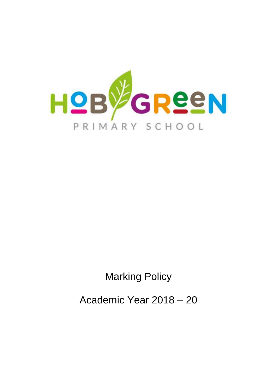

Marking Policy

Academic Year 2018 – 20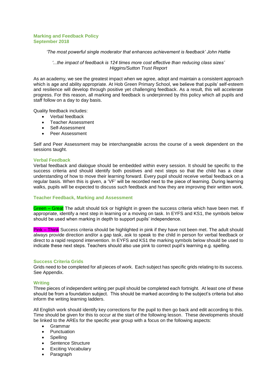## **Marking and Feedback Policy September 2018**

## *'The most powerful single moderator that enhances achievement is feedback' John Hattie*

## *'...the impact of feedback is 124 times more cost effective than reducing class sizes' Higgins/Sutton Trust Report*

As an academy, we see the greatest impact when we agree, adopt and maintain a consistent approach which is age and ability appropriate. At Hob Green Primary School, we believe that pupils' self-esteem and resilience will develop through positive yet challenging feedback. As a result, this will accelerate progress. For this reason, all marking and feedback is underpinned by this policy which all pupils and staff follow on a day to day basis.

Quality feedback includes:

- Verbal feedback
- Teacher Assessment
- Self-Assessment
- Peer Assessment

Self and Peer Assessment may be interchangeable across the course of a week dependent on the sessions taught.

## **Verbal Feedback**

Verbal feedback and dialogue should be embedded within every session. It should be specific to the success criteria and should identify both positives and next steps so that the child has a clear understanding of how to move their learning forward. Every pupil should receive verbal feedback on a regular basis. When this is given, a 'VF' will be recorded next to the piece of learning. During learning walks, pupils will be expected to discuss such feedback and how they are improving their written work.

## **Teacher Feedback, Marking and Assessment**

Green - Great The adult should tick or highlight in green the success criteria which have been met. If appropriate, identify a next step in learning or a moving on task. In EYFS and KS1, the symbols below should be used when marking in depth to support pupils' independence.

Pink – Think Success criteria should be highlighted in pink if they have not been met. The adult should always provide direction and/or a gap task, ask to speak to the child in person for verbal feedback or direct to a rapid respond intervention. In EYFS and KS1 the marking symbols below should be used to indicate these next steps. Teachers should also use pink to correct pupil's learning e.g. spelling.

## **Success Criteria Grids**

Grids need to be completed for all pieces of work. Each subject has specific grids relating to its success. See Appendix.

## **Writing**

Three pieces of independent writing per pupil should be completed each fortnight. At least one of these should be from a foundation subject. This should be marked according to the subject's criteria but also inform the writing learning ladders.

All English work should identify key corrections for the pupil to then go back and edit according to this. Time should be given for this to occur at the start of the following lesson. These developments should be linked to the AREs for the specific year group with a focus on the following aspects:

- Grammar
- Punctuation
- Spelling
- Sentence Structure
- Exciting Vocabulary
- Paragraph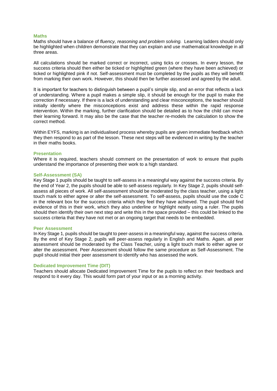#### **Maths**

Maths should have a balance of *fluency, reasoning and problem solving.* Learning ladders should only be highlighted when children demonstrate that they can explain and use mathematical knowledge in all three areas.

All calculations should be marked correct or incorrect, using ticks or crosses. In every lesson, the success criteria should then either be ticked or highlighted green (where they have been achieved) or ticked or highlighted pink if not. Self-assessment must be completed by the pupils as they will benefit from marking their own work. However, this should then be further assessed and agreed by the adult.

It is important for teachers to distinguish between a pupil's simple slip, and an error that reflects a lack of understanding. Where a pupil makes a simple slip, it should be enough for the pupil to make the correction if necessary. If there is a lack of understanding and clear misconceptions, the teacher should initially identify where the misconceptions exist and address these within the rapid response intervention. Within the marking, further clarification should be detailed as to how the child can move their learning forward. It may also be the case that the teacher re-models the calculation to show the correct method.

Within EYFS, marking is an individualised process whereby pupils are given immediate feedback which they then respond to as part of the lesson. These next steps will be evidenced in writing by the teacher in their maths books.

#### **Presentation**

Where it is required, teachers should comment on the presentation of work to ensure that pupils understand the importance of presenting their work to a high standard.

#### **Self-Assessment (SA)**

Key Stage 1 pupils should be taught to self-assess in a meaningful way against the success criteria. By the end of Year 2, the pupils should be able to self-assess regularly. In Key Stage 2, pupils should selfassess all pieces of work. All self-assessment should be moderated by the class teacher, using a light touch mark to either agree or alter the self-assessment. To self-assess, pupils should use the code C in the relevant box for the success criteria which they feel they have achieved. The pupil should find evidence of this in their work, which they also underline or highlight neatly using a ruler. The pupils should then identify their own next step and write this in the space provided – this could be linked to the success criteria that they have not met or an ongoing target that needs to be embedded.

#### **Peer Assessment**

In Key Stage 1, pupils should be taught to peer-assess in a meaningful way, against the success criteria. By the end of Key Stage 2, pupils will peer-assess regularly in English and Maths. Again, all peer assessment should be moderated by the Class Teacher, using a light touch mark to either agree or alter the assessment. Peer Assessment should follow the same procedure as Self-Assessment. The pupil should initial their peer assessment to identify who has assessed the work.

## **Dedicated Improvement Time (DIT)**

Teachers should allocate Dedicated Improvement Time for the pupils to reflect on their feedback and respond to it every day. This would form part of your input or as a morning activity.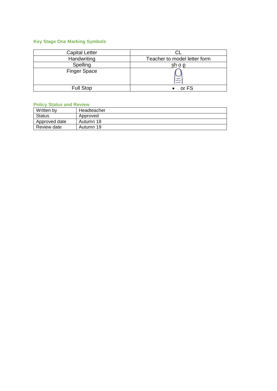# **Key Stage One Marking Symbols**

| <b>Capital Letter</b> |                              |
|-----------------------|------------------------------|
| Handwriting           | Teacher to model letter form |
| Spelling              | sh o p                       |
| <b>Finger Space</b>   | $\frac{1}{2}$                |
| <b>Full Stop</b>      | or FS                        |

## **Policy Status and Review**

| Written by    | Headteacher |
|---------------|-------------|
| Status        | Approved    |
| Approved date | Autumn 18   |
| Review date   | Autumn 19   |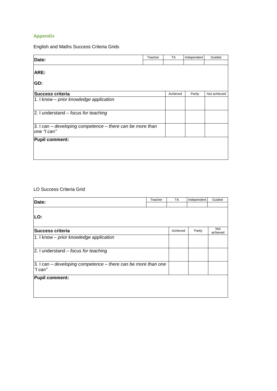## **Appendix**

English and Maths Success Criteria Grids

| Date:                                                                                            | Teacher | <b>TA</b> | Independent | Guided       |
|--------------------------------------------------------------------------------------------------|---------|-----------|-------------|--------------|
| ARE:<br>GD:                                                                                      |         |           |             |              |
| Success criteria                                                                                 |         | Achieved  | Partly      | Not achieved |
| $\vert$ 1. I know – prior knowledge application                                                  |         |           |             |              |
| $ 2.$ I understand $-$ focus for teaching                                                        |         |           |             |              |
| $ 3.1 \text{ can} - \text{developing competence} - \text{there can be more than}$<br>one "I can" |         |           |             |              |
| <b>Pupil comment:</b>                                                                            |         |           |             |              |

## LO Success Criteria Grid

| Date:                                                                                            | Teacher | <b>TA</b> | Independent | Guided          |
|--------------------------------------------------------------------------------------------------|---------|-----------|-------------|-----------------|
|                                                                                                  |         |           |             |                 |
|                                                                                                  |         |           |             |                 |
| LO:                                                                                              |         |           |             |                 |
|                                                                                                  |         |           |             |                 |
| Success criteria                                                                                 |         | Achieved  | Partly      | Not<br>achieved |
| 1. I know - prior knowledge application                                                          |         |           |             |                 |
|                                                                                                  |         |           |             |                 |
| $ 2.1$ understand – focus for teaching                                                           |         |           |             |                 |
|                                                                                                  |         |           |             |                 |
| $ 3.1 \text{ can} - \text{developing competence} - \text{there can be more than one}$<br>"I can" |         |           |             |                 |
|                                                                                                  |         |           |             |                 |
| <b>Pupil comment:</b>                                                                            |         |           |             |                 |
|                                                                                                  |         |           |             |                 |
|                                                                                                  |         |           |             |                 |
|                                                                                                  |         |           |             |                 |